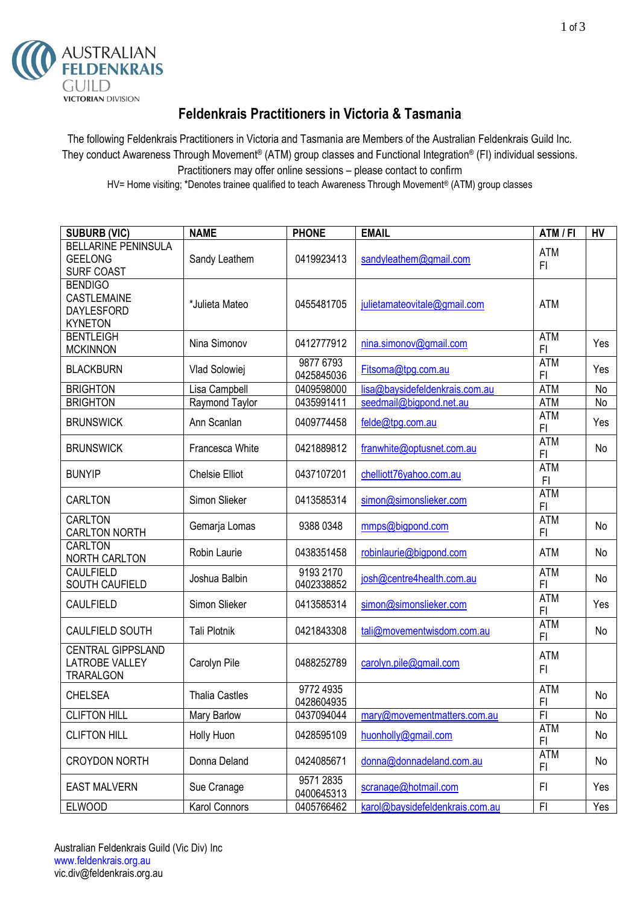

## **Feldenkrais Practitioners in Victoria & Tasmania**

The following Feldenkrais Practitioners in Victoria and Tasmania are Members of the Australian Feldenkrais Guild Inc. They conduct Awareness Through Movement® (ATM) group classes and Functional Integration® (FI) individual sessions. Practitioners may offer online sessions – please contact to confirm HV= Home visiting; \*Denotes trainee qualified to teach Awareness Through Movement® (ATM) group classes

| <b>SUBURB (VIC)</b>                                                         | <b>NAME</b>           | <b>PHONE</b>            | <b>EMAIL</b>                    | ATM / FI                     | <b>HV</b> |
|-----------------------------------------------------------------------------|-----------------------|-------------------------|---------------------------------|------------------------------|-----------|
| <b>BELLARINE PENINSULA</b><br><b>GEELONG</b><br><b>SURF COAST</b>           | Sandy Leathem         | 0419923413              | sandyleathem@gmail.com          | <b>ATM</b><br>F1             |           |
| <b>BENDIGO</b><br><b>CASTLEMAINE</b><br><b>DAYLESFORD</b><br><b>KYNETON</b> | *Julieta Mateo        | 0455481705              | julietamateovitale@gmail.com    | <b>ATM</b>                   |           |
| <b>BENTLEIGH</b><br><b>MCKINNON</b>                                         | Nina Simonov          | 0412777912              | nina.simonov@gmail.com          | <b>ATM</b><br>F1             | Yes       |
| <b>BLACKBURN</b>                                                            | Vlad Solowiej         | 9877 6793<br>0425845036 | Fitsoma@tpg.com.au              | <b>ATM</b><br>F1             | Yes       |
| <b>BRIGHTON</b>                                                             | Lisa Campbell         | 0409598000              | lisa@baysidefeldenkrais.com.au  | <b>ATM</b>                   | No        |
| <b>BRIGHTON</b>                                                             | Raymond Taylor        | 0435991411              | seedmail@bigpond.net.au         | <b>ATM</b>                   | No        |
| <b>BRUNSWICK</b>                                                            | Ann Scanlan           | 0409774458              | felde@tpg.com.au                | <b>ATM</b><br>F <sub>l</sub> | Yes       |
| <b>BRUNSWICK</b>                                                            | Francesca White       | 0421889812              | franwhite@optusnet.com.au       | <b>ATM</b><br>F <sub>l</sub> | No        |
| <b>BUNYIP</b>                                                               | <b>Chelsie Elliot</b> | 0437107201              | chelliott76yahoo.com.au         | <b>ATM</b><br>F <sub>1</sub> |           |
| <b>CARLTON</b>                                                              | Simon Slieker         | 0413585314              | simon@simonslieker.com          | <b>ATM</b><br>F1             |           |
| <b>CARLTON</b><br><b>CARLTON NORTH</b>                                      | Gemarja Lomas         | 9388 0348               | mmps@bigpond.com                | <b>ATM</b><br>F1             | No        |
| <b>CARLTON</b><br><b>NORTH CARLTON</b>                                      | Robin Laurie          | 0438351458              | robinlaurie@bigpond.com         | <b>ATM</b>                   | No        |
| CAULFIELD<br>SOUTH CAUFIELD                                                 | Joshua Balbin         | 9193 2170<br>0402338852 | josh@centre4health.com.au       | <b>ATM</b><br>F1             | No        |
| <b>CAULFIELD</b>                                                            | Simon Slieker         | 0413585314              | simon@simonslieker.com          | <b>ATM</b><br>F1             | Yes       |
| CAULFIELD SOUTH                                                             | <b>Tali Plotnik</b>   | 0421843308              | tali@movementwisdom.com.au      | <b>ATM</b><br>F1             | No        |
| <b>CENTRAL GIPPSLAND</b><br><b>LATROBE VALLEY</b><br><b>TRARALGON</b>       | Carolyn Pile          | 0488252789              | carolyn.pile@gmail.com          | <b>ATM</b><br>FI.            |           |
| <b>CHELSEA</b>                                                              | <b>Thalia Castles</b> | 9772 4935<br>0428604935 |                                 | <b>ATM</b><br>F <sub>1</sub> | No        |
| <b>CLIFTON HILL</b>                                                         | Mary Barlow           | 0437094044              | mary@movementmatters.com.au     | F <sub>l</sub>               | No        |
| <b>CLIFTON HILL</b>                                                         | Holly Huon            | 0428595109              | huonholly@gmail.com             | <b>ATM</b><br>FI             | No        |
| <b>CROYDON NORTH</b>                                                        | Donna Deland          | 0424085671              | donna@donnadeland.com.au        | <b>ATM</b><br>FI             | No        |
| <b>EAST MALVERN</b>                                                         | Sue Cranage           | 9571 2835<br>0400645313 | scranage@hotmail.com            | FI                           | Yes       |
| <b>ELWOOD</b>                                                               | Karol Connors         | 0405766462              | karol@baysidefeldenkrais.com.au | FI.                          | Yes       |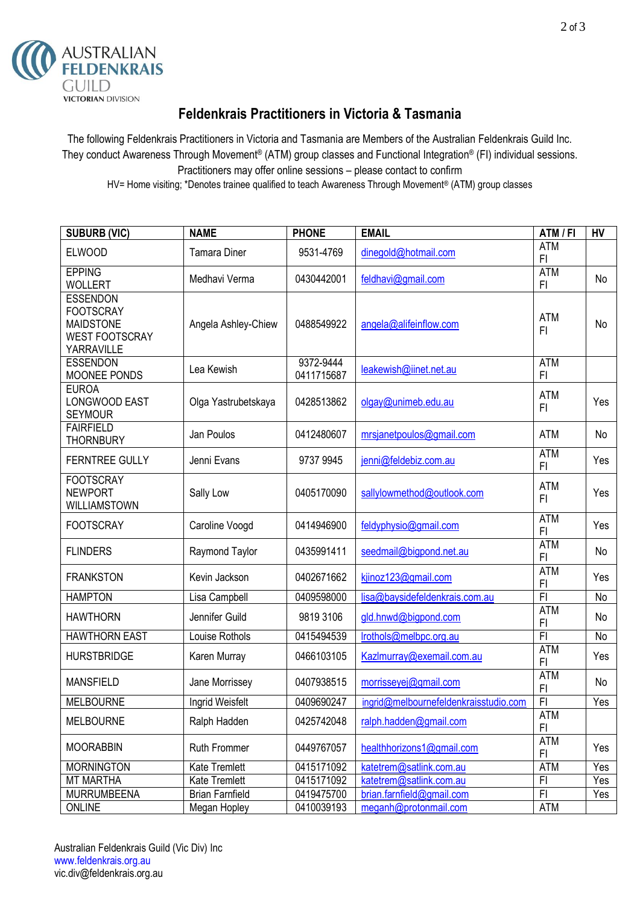

## **Feldenkrais Practitioners in Victoria & Tasmania**

The following Feldenkrais Practitioners in Victoria and Tasmania are Members of the Australian Feldenkrais Guild Inc. They conduct Awareness Through Movement® (ATM) group classes and Functional Integration® (FI) individual sessions. Practitioners may offer online sessions – please contact to confirm HV= Home visiting; \*Denotes trainee qualified to teach Awareness Through Movement® (ATM) group classes

| <b>SUBURB (VIC)</b>                                                                            | <b>NAME</b>            | <b>PHONE</b>            | <b>EMAIL</b>                          | ATM / FI                     | HV  |
|------------------------------------------------------------------------------------------------|------------------------|-------------------------|---------------------------------------|------------------------------|-----|
| <b>ELWOOD</b>                                                                                  | <b>Tamara Diner</b>    | 9531-4769               | dinegold@hotmail.com                  | <b>ATM</b><br>FI             |     |
| <b>EPPING</b><br><b>WOLLERT</b>                                                                | Medhavi Verma          | 0430442001              | feldhavi@gmail.com                    | <b>ATM</b><br>F1             | No  |
| <b>ESSENDON</b><br><b>FOOTSCRAY</b><br><b>MAIDSTONE</b><br><b>WEST FOOTSCRAY</b><br>YARRAVILLE | Angela Ashley-Chiew    | 0488549922              | angela@alifeinflow.com                | <b>ATM</b><br>F1             | No  |
| <b>ESSENDON</b><br>MOONEE PONDS                                                                | Lea Kewish             | 9372-9444<br>0411715687 | leakewish@iinet.net.au                | <b>ATM</b><br>F1             |     |
| <b>EUROA</b><br>LONGWOOD EAST<br><b>SEYMOUR</b>                                                | Olga Yastrubetskaya    | 0428513862              | olgay@unimeb.edu.au                   | <b>ATM</b><br>FI.            | Yes |
| <b>FAIRFIELD</b><br><b>THORNBURY</b>                                                           | Jan Poulos             | 0412480607              | mrsjanetpoulos@gmail.com              | <b>ATM</b>                   | No  |
| <b>FERNTREE GULLY</b>                                                                          | Jenni Evans            | 9737 9945               | jenni@feldebiz.com.au                 | <b>ATM</b><br>FI             | Yes |
| <b>FOOTSCRAY</b><br><b>NEWPORT</b><br><b>WILLIAMSTOWN</b>                                      | Sally Low              | 0405170090              | sallylowmethod@outlook.com            | <b>ATM</b><br>F <sub>l</sub> | Yes |
| <b>FOOTSCRAY</b>                                                                               | Caroline Voogd         | 0414946900              | feldyphysio@gmail.com                 | <b>ATM</b><br>FI             | Yes |
| <b>FLINDERS</b>                                                                                | Raymond Taylor         | 0435991411              | seedmail@bigpond.net.au               | <b>ATM</b><br>FI             | No  |
| <b>FRANKSTON</b>                                                                               | Kevin Jackson          | 0402671662              | kjinoz123@gmail.com                   | <b>ATM</b><br>F <sub>1</sub> | Yes |
| <b>HAMPTON</b>                                                                                 | Lisa Campbell          | 0409598000              | lisa@baysidefeldenkrais.com.au        | F1                           | No  |
| <b>HAWTHORN</b>                                                                                | Jennifer Guild         | 9819 3106               | gld.hnwd@bigpond.com                  | <b>ATM</b><br>FI             | No  |
| <b>HAWTHORN EAST</b>                                                                           | Louise Rothols         | 0415494539              | Irothols@melbpc.org.au                | $\overline{F}$               | No  |
| <b>HURSTBRIDGE</b>                                                                             | Karen Murray           | 0466103105              | Kazlmurray@exemail.com.au             | <b>ATM</b><br>FI             | Yes |
| <b>MANSFIELD</b>                                                                               | Jane Morrissey         | 0407938515              | morrisseyej@gmail.com                 | <b>ATM</b><br>FI             | No  |
| <b>MELBOURNE</b>                                                                               | Ingrid Weisfelt        | 0409690247              | ingrid@melbournefeldenkraisstudio.com | F <sub>1</sub>               | Yes |
| <b>MELBOURNE</b>                                                                               | Ralph Hadden           | 0425742048              | ralph.hadden@gmail.com                | <b>ATM</b><br>F <sub>l</sub> |     |
| <b>MOORABBIN</b>                                                                               | Ruth Frommer           | 0449767057              | healthhorizons1@gmail.com             | <b>ATM</b><br>FI             | Yes |
| <b>MORNINGTON</b>                                                                              | Kate Tremlett          | 0415171092              | katetrem@satlink.com.au               | <b>ATM</b>                   | Yes |
| <b>MT MARTHA</b>                                                                               | Kate Tremlett          | 0415171092              | katetrem@satlink.com.au               | F <sub>1</sub>               | Yes |
| MURRUMBEENA                                                                                    | <b>Brian Farnfield</b> | 0419475700              | brian.farnfield@gmail.com             | F1                           | Yes |
| <b>ONLINE</b>                                                                                  | Megan Hopley           | 0410039193              | meganh@protonmail.com                 | <b>ATM</b>                   |     |